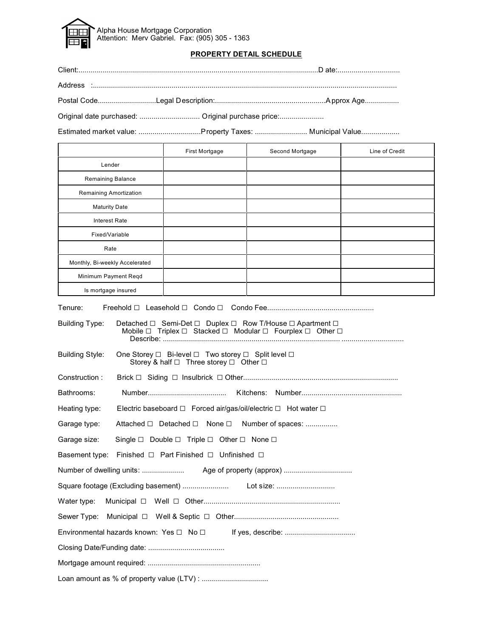

#### **PROPERTY DETAIL SCHEDULE**

| Original date purchased:  Original purchase price:       |  |
|----------------------------------------------------------|--|
| Estimated market value: Property Taxes:  Municipal Value |  |

First Mortgage **Second Mortgage** | Line of Credit Lender Remaining Balance Remaining Amortization Maturity Date Interest Rate Fixed/Variable Rate Monthly, Bi-weekly Accelerated Minimum Payment Reqd Is mortgage insured

Tenure: Freehold G Leasehold G Condo G Condo Fee..................................................... Building Type: Detached ⊡ Semi-Det ⊡ Duplex ⊡ Row T/House ⊡ Apartment ⊟ Mobile  $\Box$  Triplex  $\Box$  Stacked  $\Box$  Modular  $\Box$  Fourplex  $\Box$  Other  $\Box$  Describe: ........................................................................................ ............................... Building Style: One Storey □ Bi-level □ Two storey □ Split level □ Storey & half  $\Box$  Three storey  $\Box$  Other  $\Box$ Construction : Brick G Siding G Insulbrick G Other............................................................................. Bathrooms: Number....................................... Kitchens: Number.................................................. Heating type: Electric baseboard  $\Box$  Forced air/gas/oil/electric  $\Box$  Hot water  $\Box$ Garage type: Attached  $\Box$  Detached  $\Box$  None  $\Box$  Number of spaces: ................ Garage size: Single  $\Box$  Double  $\Box$  Triple  $\Box$  Other  $\Box$  None  $\Box$ Basement type: Finished  $\Box$  Part Finished  $\Box$  Unfinished  $\Box$ Number of dwelling units: ..................... Age of property (approx) .................................. Square footage (Excluding basement) ....................... Lot size: ............................. Water type: Municipal G Well G Other.................................................................... Sewer Type: Municipal G Well & Septic G Other.................................................... Environmental hazards known: Yes G No G If yes, describe: ................................... Closing Date/Funding date: ...................................... Mortgage amount required: ........................................................ Loan amount as % of property value (LTV) : .................................